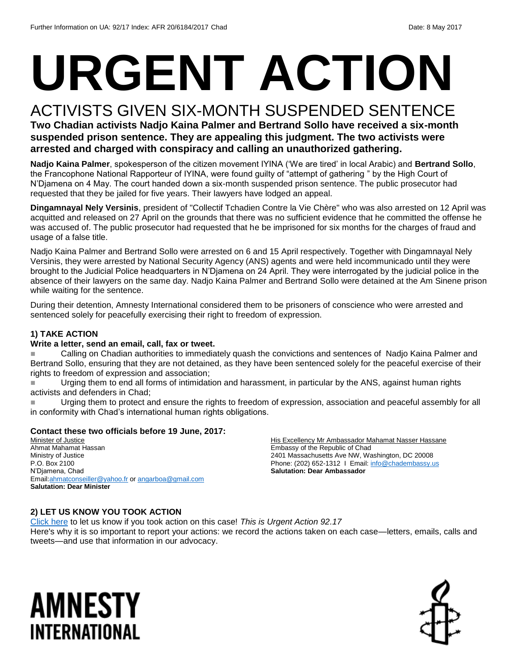# **URGENT ACTION**

### ACTIVISTS GIVEN SIX-MONTH SUSPENDED SENTENCE

**Two Chadian activists Nadjo Kaina Palmer and Bertrand Sollo have received a six-month suspended prison sentence. They are appealing this judgment. The two activists were arrested and charged with conspiracy and calling an unauthorized gathering.**

**Nadjo Kaina Palmer**, spokesperson of the citizen movement IYINA ('We are tired' in local Arabic) and **Bertrand Sollo**, the Francophone National Rapporteur of IYINA, were found guilty of "attempt of gathering " by the High Court of N'Djamena on 4 May. The court handed down a six-month suspended prison sentence. The public prosecutor had requested that they be jailed for five years. Their lawyers have lodged an appeal.

**Dingamnayal Nely Versinis**, president of "Collectif Tchadien Contre la Vie Chère" who was also arrested on 12 April was acquitted and released on 27 April on the grounds that there was no sufficient evidence that he committed the offense he was accused of. The public prosecutor had requested that he be imprisoned for six months for the charges of fraud and usage of a false title.

Nadjo Kaina Palmer and Bertrand Sollo were arrested on 6 and 15 April respectively. Together with Dingamnayal Nely Versinis, they were arrested by National Security Agency (ANS) agents and were held incommunicado until they were brought to the Judicial Police headquarters in N'Djamena on 24 April. They were interrogated by the judicial police in the absence of their lawyers on the same day. Nadjo Kaina Palmer and Bertrand Sollo were detained at the Am Sinene prison while waiting for the sentence.

During their detention, Amnesty International considered them to be prisoners of conscience who were arrested and sentenced solely for peacefully exercising their right to freedom of expression.

#### **1) TAKE ACTION**

#### **Write a letter, send an email, call, fax or tweet.**

**Calling on Chadian authorities to immediately quash the convictions and sentences of Nadjo Kaina Palmer and** Bertrand Sollo, ensuring that they are not detained, as they have been sentenced solely for the peaceful exercise of their rights to freedom of expression and association;

 Urging them to end all forms of intimidation and harassment, in particular by the ANS, against human rights activists and defenders in Chad;

Urging them to protect and ensure the rights to freedom of expression, association and peaceful assembly for all in conformity with Chad's international human rights obligations.

#### **Contact these two officials before 19 June, 2017:**

Minister of Justice Ahmat Mahamat Hassan Ministry of Justice P.O. Box 2100 N'Djamena, Chad Emai[l:ahmatconseiller@yahoo.fr](mailto:ahmatconseiller@yahoo.fr) or [angarboa@gmail.com](mailto:angarboa@gmail.com) **Salutation: Dear Minister** 

His Excellency Mr Ambassador Mahamat Nasser Hassane Embassy of the Republic of Chad 2401 Massachusetts Ave NW, Washington, DC 20008 Phone: (202) 652-1312 I Email: [info@chadembassy.us](mailto:info@chadembassy.us) **Salutation: Dear Ambassador**

#### **2) LET US KNOW YOU TOOK ACTION**

[Click here](https://docs.google.com/forms/d/e/1FAIpQLSf3RUspces4lA9Gt7Fp9GiAcojCs6fnfFOTCLli3Su6c3S8ew/viewform) to let us know if you took action on this case! *This is Urgent Action 92.17* 

Here's why it is so important to report your actions: we record the actions taken on each case—letters, emails, calls and tweets—and use that information in our advocacy.

## AMNESTY INTERNATIONAL